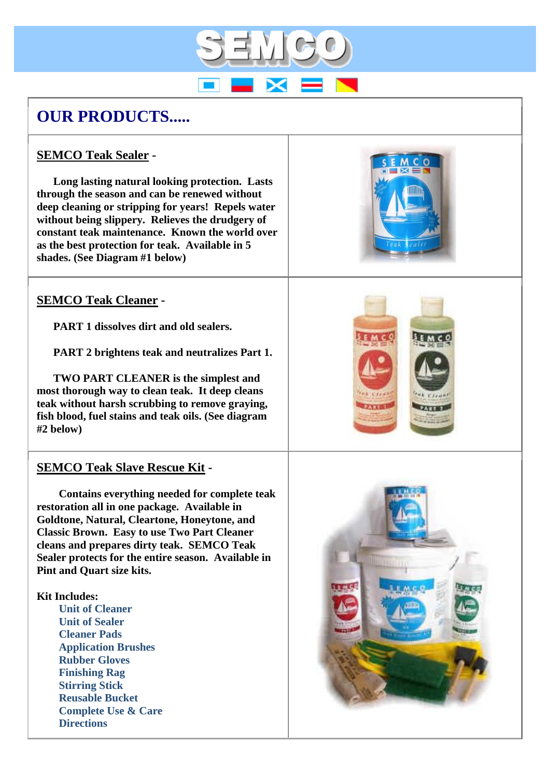# **OUR PRODUCTS.....**

## **SEMCO Teak Sealer -**

 **Long lasting natural looking protection. Lasts through the season and can be renewed without deep cleaning or stripping for years! Repels water without being slippery. Relieves the drudgery of constant teak maintenance. Known the world over as the best protection for teak. Available in 5 shades. (See Diagram #1 below)**

# **SEMCO Teak Cleaner -**

**PART 1 dissolves dirt and old sealers.**

**PART 2 brightens teak and neutralizes Part 1.**

 **TWO PART CLEANER is the simplest and most thorough way to clean teak. It deep cleans teak without harsh scrubbing to remove graying, fish blood, fuel stains and teak oils. (See diagram #2 below)**

## **SEMCO Teak Slave Rescue Kit -**

 **Contains everything needed for complete teak restoration all in one package. Available in Goldtone, Natural, Cleartone, Honeytone, and Classic Brown. Easy to use Two Part Cleaner cleans and prepares dirty teak. SEMCO Teak Sealer protects for the entire season. Available in Pint and Quart size kits.**

#### **Kit Includes:**

 **Unit of Cleaner Unit of Sealer Cleaner Pads Application Brushes Rubber Gloves Finishing Rag Stirring Stick Reusable Bucket Complete Use & Care Directions** 







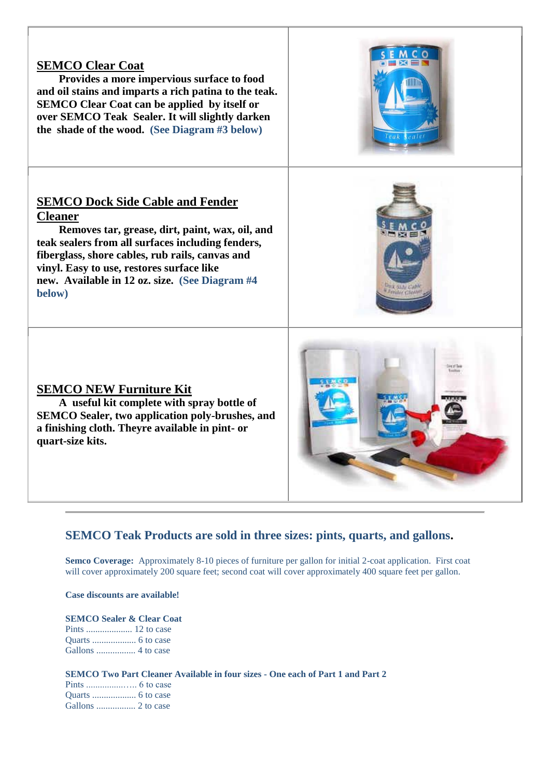## **SEMCO Clear Coat**

 **Provides a more impervious surface to food and oil stains and imparts a rich patina to the teak. SEMCO Clear Coat can be applied by itself or over SEMCO Teak Sealer. It will slightly darken the shade of the wood. (See Diagram #3 below)**

## **SEMCO Dock Side Cable and Fender Cleaner**

 **Removes tar, grease, dirt, paint, wax, oil, and teak sealers from all surfaces including fenders, fiberglass, shore cables, rub rails, canvas and vinyl. Easy to use, restores surface like new. Available in 12 oz. size. (See Diagram #4 below)** 

### **SEMCO NEW Furniture Kit**

 **A useful kit complete with spray bottle of SEMCO Sealer, two application poly-brushes, and a finishing cloth. Theyre available in pint- or quart-size kits.**

## **SEMCO Teak Products are sold in three sizes: pints, quarts, and gallons.**

**Semco Coverage:** Approximately 8-10 pieces of furniture per gallon for initial 2-coat application. First coat will cover approximately 200 square feet; second coat will cover approximately 400 square feet per gallon.

**Case discounts are available!**

**SEMCO Sealer & Clear Coat** Pints .................... 12 to case Quarts ................... 6 to case Gallons ................. 4 to case

**SEMCO Two Part Cleaner Available in four sizes - One each of Part 1 and Part 2** Pints ................….. 6 to case Quarts ................... 6 to case

Gallons ................. 2 to case